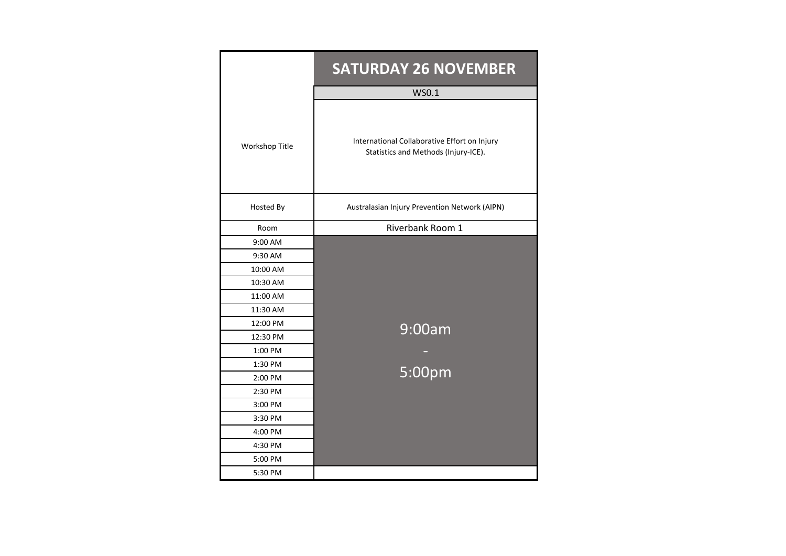|                | <b>SATURDAY 26 NOVEMBER</b>                                                          |
|----------------|--------------------------------------------------------------------------------------|
|                | WS0.1                                                                                |
| Workshop Title | International Collaborative Effort on Injury<br>Statistics and Methods (Injury-ICE). |
| Hosted By      | Australasian Injury Prevention Network (AIPN)                                        |
| Room           | Riverbank Room 1                                                                     |
| 9:00 AM        |                                                                                      |
| 9:30 AM        |                                                                                      |
| 10:00 AM       |                                                                                      |
| 10:30 AM       |                                                                                      |
| 11:00 AM       |                                                                                      |
| 11:30 AM       |                                                                                      |
| 12:00 PM       | 9:00am                                                                               |
| 12:30 PM       |                                                                                      |
| 1:00 PM        |                                                                                      |
| 1:30 PM        | 5:00pm                                                                               |
| 2:00 PM        |                                                                                      |
| 2:30 PM        |                                                                                      |
| 3:00 PM        |                                                                                      |
| 3:30 PM        |                                                                                      |
| 4:00 PM        |                                                                                      |
| 4:30 PM        |                                                                                      |
| 5:00 PM        |                                                                                      |
| 5:30 PM        |                                                                                      |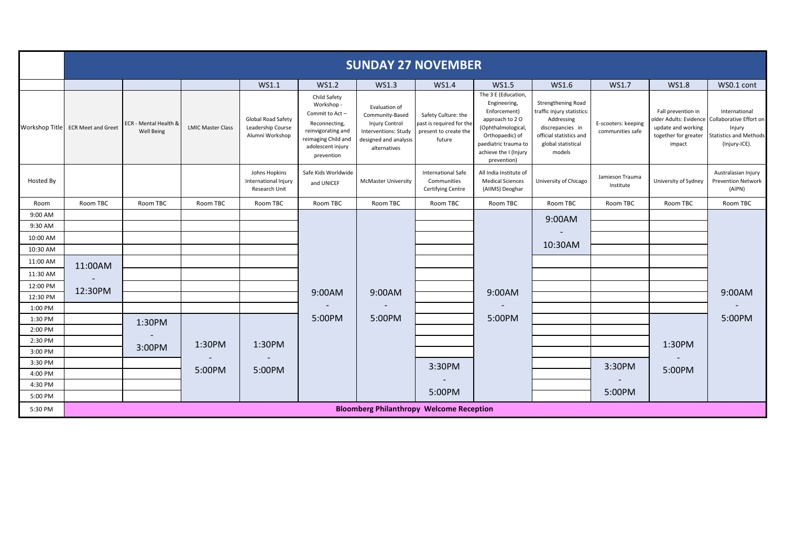|                    | <b>SUNDAY 27 NOVEMBER</b>         |                                            |                          |                                                            |                                                                                                                                               |                                                                                                                     |                                                                                    |                                                                                                                                                                                |                                                                                                                                                      |                                         |                                                                                                      |                                                                                                      |
|--------------------|-----------------------------------|--------------------------------------------|--------------------------|------------------------------------------------------------|-----------------------------------------------------------------------------------------------------------------------------------------------|---------------------------------------------------------------------------------------------------------------------|------------------------------------------------------------------------------------|--------------------------------------------------------------------------------------------------------------------------------------------------------------------------------|------------------------------------------------------------------------------------------------------------------------------------------------------|-----------------------------------------|------------------------------------------------------------------------------------------------------|------------------------------------------------------------------------------------------------------|
|                    |                                   |                                            |                          | WS1.1                                                      | WS1.2                                                                                                                                         | WS1.3                                                                                                               | WS1.4                                                                              | WS1.5                                                                                                                                                                          | WS1.6                                                                                                                                                | WS1.7                                   | <b>WS1.8</b>                                                                                         | WS0.1 cont                                                                                           |
|                    | Workshop Title ECR Meet and Greet | ECR - Mental Health &<br><b>Well Being</b> | <b>LMIC Master Class</b> | Global Road Safety<br>Leadership Course<br>Alumni Workshop | Child Safety<br>Workshop -<br>Commit to Act-<br>Reconnecting,<br>reinvigorating and<br>reimaging Child and<br>adolescent injury<br>prevention | Evaluation of<br>Community-Based<br>Injury Control<br>Interventions: Study<br>designed and analysis<br>alternatives | Safety Culture: the<br>past is required for the<br>present to create the<br>future | The 3 E (Education,<br>Engineering,<br>Enforcement)<br>approach to 20<br>(Ophthalmological,<br>Orthopaedic) of<br>paediatric trauma to<br>achieve the I (Injury<br>prevention) | <b>Strengthening Road</b><br>traffic injury statistics:<br>Addressing<br>discrepancies in<br>official statistics and<br>global statistical<br>models | E-scooters: keeping<br>communities safe | Fall prevention in<br>older Adults: Evidence<br>update and working<br>together for greater<br>impact | International<br>Collaborative Effort on<br>Injury<br><b>Statistics and Methods</b><br>(Injury-ICE). |
| Hosted By          |                                   |                                            |                          | Johns Hopkins<br>International Injury<br>Research Unit     | Safe Kids Worldwide<br>and UNICEF                                                                                                             | <b>McMaster University</b>                                                                                          | International Safe<br>Communities<br>Certifying Centre                             | All India Institute of<br><b>Medical Sciences</b><br>(AllMS) Deoghar                                                                                                           | University of Chicago                                                                                                                                | Jamieson Trauma<br>Institute            | University of Sydney                                                                                 | Australasian Injury<br><b>Prevention Network</b><br>(AIPN)                                           |
| Room               | Room TBC                          | Room TBC                                   | Room TBC                 | Room TBC                                                   | Room TBC                                                                                                                                      | Room TBC                                                                                                            | Room TBC                                                                           | Room TBC                                                                                                                                                                       | Room TBC                                                                                                                                             | Room TBC                                | Room TBC                                                                                             | Room TBC                                                                                             |
| 9:00 AM            |                                   |                                            |                          |                                                            |                                                                                                                                               |                                                                                                                     |                                                                                    |                                                                                                                                                                                | 9:00AM                                                                                                                                               |                                         |                                                                                                      |                                                                                                      |
| 9:30 AM            |                                   |                                            |                          |                                                            |                                                                                                                                               |                                                                                                                     |                                                                                    |                                                                                                                                                                                |                                                                                                                                                      |                                         |                                                                                                      |                                                                                                      |
| 10:00 AM           |                                   |                                            |                          |                                                            |                                                                                                                                               |                                                                                                                     |                                                                                    |                                                                                                                                                                                | 10:30AM                                                                                                                                              |                                         |                                                                                                      |                                                                                                      |
| 10:30 AM           |                                   |                                            |                          |                                                            |                                                                                                                                               |                                                                                                                     |                                                                                    |                                                                                                                                                                                |                                                                                                                                                      |                                         |                                                                                                      |                                                                                                      |
| 11:00 AM           | 11:00AM                           |                                            |                          |                                                            |                                                                                                                                               |                                                                                                                     |                                                                                    |                                                                                                                                                                                |                                                                                                                                                      |                                         |                                                                                                      |                                                                                                      |
| 11:30 AM           |                                   |                                            |                          |                                                            |                                                                                                                                               |                                                                                                                     |                                                                                    |                                                                                                                                                                                |                                                                                                                                                      |                                         |                                                                                                      |                                                                                                      |
| 12:00 PM           | 12:30PM                           |                                            |                          |                                                            | 9:00AM                                                                                                                                        | 9:00AM                                                                                                              |                                                                                    | 9:00AM                                                                                                                                                                         |                                                                                                                                                      |                                         |                                                                                                      | 9:00AM                                                                                               |
| 12:30 PM           |                                   |                                            |                          |                                                            |                                                                                                                                               |                                                                                                                     |                                                                                    |                                                                                                                                                                                |                                                                                                                                                      |                                         |                                                                                                      |                                                                                                      |
| 1:00 PM            |                                   |                                            |                          |                                                            |                                                                                                                                               |                                                                                                                     |                                                                                    |                                                                                                                                                                                |                                                                                                                                                      |                                         |                                                                                                      |                                                                                                      |
| 1:30 PM            |                                   | 1:30PM                                     |                          |                                                            | 5:00PM                                                                                                                                        | 5:00PM                                                                                                              |                                                                                    | 5:00PM                                                                                                                                                                         |                                                                                                                                                      |                                         |                                                                                                      | 5:00PM                                                                                               |
| 2:00 PM<br>2:30 PM |                                   |                                            |                          |                                                            |                                                                                                                                               |                                                                                                                     |                                                                                    |                                                                                                                                                                                |                                                                                                                                                      |                                         |                                                                                                      |                                                                                                      |
| 3:00 PM            |                                   | 3:00PM                                     | 1:30PM                   | 1:30PM                                                     |                                                                                                                                               |                                                                                                                     |                                                                                    |                                                                                                                                                                                |                                                                                                                                                      |                                         | 1:30PM                                                                                               |                                                                                                      |
| 3:30 PM            |                                   |                                            |                          |                                                            |                                                                                                                                               |                                                                                                                     |                                                                                    |                                                                                                                                                                                |                                                                                                                                                      |                                         |                                                                                                      |                                                                                                      |
| 4:00 PM            |                                   |                                            | 5:00PM                   | 5:00PM                                                     |                                                                                                                                               |                                                                                                                     | 3:30PM                                                                             |                                                                                                                                                                                |                                                                                                                                                      | 3:30PM                                  | 5:00PM                                                                                               |                                                                                                      |
| 4:30 PM            |                                   |                                            |                          |                                                            |                                                                                                                                               |                                                                                                                     |                                                                                    |                                                                                                                                                                                |                                                                                                                                                      |                                         |                                                                                                      |                                                                                                      |
| 5:00 PM            |                                   |                                            |                          |                                                            |                                                                                                                                               |                                                                                                                     | 5:00PM                                                                             |                                                                                                                                                                                |                                                                                                                                                      | 5:00PM                                  |                                                                                                      |                                                                                                      |
| 5:30 PM            |                                   |                                            |                          |                                                            |                                                                                                                                               |                                                                                                                     | <b>Bloomberg Philanthropy Welcome Reception</b>                                    |                                                                                                                                                                                |                                                                                                                                                      |                                         |                                                                                                      |                                                                                                      |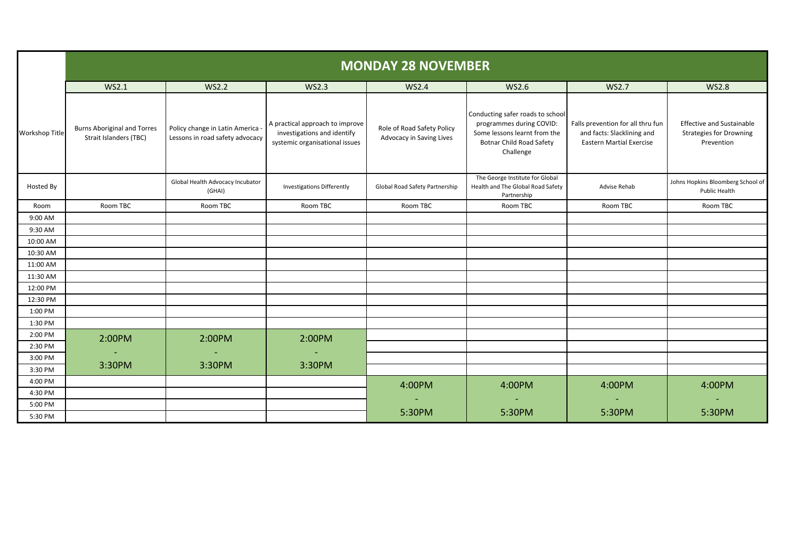|                       | <b>MONDAY 28 NOVEMBER</b>                                    |                                                                   |                                                                                                  |                                                        |                                                                                                                                              |                                                                                                    |                                                                                  |  |  |  |  |
|-----------------------|--------------------------------------------------------------|-------------------------------------------------------------------|--------------------------------------------------------------------------------------------------|--------------------------------------------------------|----------------------------------------------------------------------------------------------------------------------------------------------|----------------------------------------------------------------------------------------------------|----------------------------------------------------------------------------------|--|--|--|--|
|                       | WS2.1<br><b>WS2.2</b><br><b>WS2.3</b>                        |                                                                   | WS2.6<br><b>WS2.4</b>                                                                            |                                                        | <b>WS2.7</b>                                                                                                                                 | <b>WS2.8</b>                                                                                       |                                                                                  |  |  |  |  |
| <b>Workshop Title</b> | <b>Burns Aboriginal and Torres</b><br>Strait Islanders (TBC) | Policy change in Latin America<br>Lessons in road safety advocacy | A practical approach to improve<br>investigations and identify<br>systemic organisational issues | Role of Road Safety Policy<br>Advocacy in Saving Lives | Conducting safer roads to school<br>programmes during COVID:<br>Some lessons learnt from the<br><b>Botnar Child Road Safety</b><br>Challenge | Falls prevention for all thru fun<br>and facts: Slacklining and<br><b>Eastern Martial Exercise</b> | <b>Effective and Sustainable</b><br><b>Strategies for Drowning</b><br>Prevention |  |  |  |  |
| Hosted By             |                                                              | Global Health Advocacy Incubator<br>(GHAI)                        | <b>Investigations Differently</b>                                                                | Global Road Safety Partnership                         | The George Institute for Global<br>Health and The Global Road Safety<br>Partnership                                                          | Advise Rehab                                                                                       | Johns Hopkins Bloomberg School of<br>Public Health                               |  |  |  |  |
| Room                  | Room TBC                                                     | Room TBC                                                          | Room TBC                                                                                         | Room TBC                                               | Room TBC                                                                                                                                     | Room TBC                                                                                           | Room TBC                                                                         |  |  |  |  |
| 9:00 AM               |                                                              |                                                                   |                                                                                                  |                                                        |                                                                                                                                              |                                                                                                    |                                                                                  |  |  |  |  |
| 9:30 AM               |                                                              |                                                                   |                                                                                                  |                                                        |                                                                                                                                              |                                                                                                    |                                                                                  |  |  |  |  |
| 10:00 AM              |                                                              |                                                                   |                                                                                                  |                                                        |                                                                                                                                              |                                                                                                    |                                                                                  |  |  |  |  |
| 10:30 AM              |                                                              |                                                                   |                                                                                                  |                                                        |                                                                                                                                              |                                                                                                    |                                                                                  |  |  |  |  |
| 11:00 AM              |                                                              |                                                                   |                                                                                                  |                                                        |                                                                                                                                              |                                                                                                    |                                                                                  |  |  |  |  |
| 11:30 AM              |                                                              |                                                                   |                                                                                                  |                                                        |                                                                                                                                              |                                                                                                    |                                                                                  |  |  |  |  |
| 12:00 PM              |                                                              |                                                                   |                                                                                                  |                                                        |                                                                                                                                              |                                                                                                    |                                                                                  |  |  |  |  |
| 12:30 PM              |                                                              |                                                                   |                                                                                                  |                                                        |                                                                                                                                              |                                                                                                    |                                                                                  |  |  |  |  |
| 1:00 PM               |                                                              |                                                                   |                                                                                                  |                                                        |                                                                                                                                              |                                                                                                    |                                                                                  |  |  |  |  |
| 1:30 PM               |                                                              |                                                                   |                                                                                                  |                                                        |                                                                                                                                              |                                                                                                    |                                                                                  |  |  |  |  |
| 2:00 PM               | 2:00PM                                                       | 2:00PM                                                            | 2:00PM                                                                                           |                                                        |                                                                                                                                              |                                                                                                    |                                                                                  |  |  |  |  |
| 2:30 PM               |                                                              |                                                                   |                                                                                                  |                                                        |                                                                                                                                              |                                                                                                    |                                                                                  |  |  |  |  |
| 3:00 PM               | 3:30PM                                                       | 3:30PM                                                            | 3:30PM                                                                                           |                                                        |                                                                                                                                              |                                                                                                    |                                                                                  |  |  |  |  |
| 3:30 PM               |                                                              |                                                                   |                                                                                                  |                                                        |                                                                                                                                              |                                                                                                    |                                                                                  |  |  |  |  |
| 4:00 PM               |                                                              |                                                                   |                                                                                                  | 4:00PM                                                 | 4:00PM                                                                                                                                       | 4:00PM                                                                                             | 4:00PM                                                                           |  |  |  |  |
| 4:30 PM               |                                                              |                                                                   |                                                                                                  |                                                        |                                                                                                                                              |                                                                                                    |                                                                                  |  |  |  |  |
| 5:00 PM               |                                                              |                                                                   |                                                                                                  | 5:30PM                                                 | 5:30PM                                                                                                                                       | 5:30PM                                                                                             | 5:30PM                                                                           |  |  |  |  |
| 5:30 PM               |                                                              |                                                                   |                                                                                                  |                                                        |                                                                                                                                              |                                                                                                    |                                                                                  |  |  |  |  |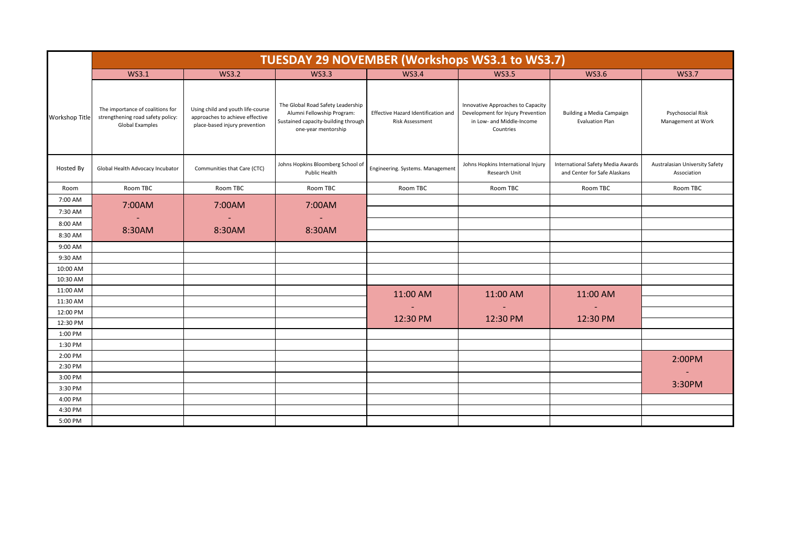|                       | TUESDAY 29 NOVEMBER (Workshops WS3.1 to WS3.7)                                           |                                                                                                       |                                                                                                                               |                                                               |                                                                                                                  |                                                                   |                                               |  |  |  |  |
|-----------------------|------------------------------------------------------------------------------------------|-------------------------------------------------------------------------------------------------------|-------------------------------------------------------------------------------------------------------------------------------|---------------------------------------------------------------|------------------------------------------------------------------------------------------------------------------|-------------------------------------------------------------------|-----------------------------------------------|--|--|--|--|
|                       | WS3.1                                                                                    | <b>WS3.2</b>                                                                                          | <b>WS3.3</b>                                                                                                                  | <b>WS3.4</b>                                                  | <b>WS3.5</b>                                                                                                     | <b>WS3.6</b>                                                      | <b>WS3.7</b>                                  |  |  |  |  |
| <b>Workshop Title</b> | The importance of coalitions for<br>strengthening road safety policy:<br>Global Examples | Using child and youth life-course<br>approaches to achieve effective<br>place-based injury prevention | The Global Road Safety Leadership<br>Alumni Fellowship Program:<br>Sustained capacity-building through<br>one-year mentorship | Effective Hazard Identification and<br><b>Risk Assessment</b> | Innovative Approaches to Capacity<br>Development for Injury Prevention<br>in Low- and Middle-Income<br>Countries | Building a Media Campaign<br><b>Evaluation Plan</b>               | Psychosocial Risk<br>Management at Work       |  |  |  |  |
| Hosted By             | Global Health Advocacy Incubator                                                         | Communities that Care (CTC)                                                                           | Johns Hopkins Bloomberg School of<br>Public Health                                                                            | Engineering. Systems. Management                              | Johns Hopkins International Injury<br>Research Unit                                                              | International Safety Media Awards<br>and Center for Safe Alaskans | Australasian University Safety<br>Association |  |  |  |  |
| Room                  | Room TBC                                                                                 | Room TBC                                                                                              | Room TBC                                                                                                                      | Room TBC                                                      | Room TBC                                                                                                         | Room TBC                                                          | Room TBC                                      |  |  |  |  |
| 7:00 AM               |                                                                                          | 7:00AM<br>7:00AM<br>7:00AM                                                                            |                                                                                                                               |                                                               |                                                                                                                  |                                                                   |                                               |  |  |  |  |
| 7:30 AM               |                                                                                          |                                                                                                       |                                                                                                                               |                                                               |                                                                                                                  |                                                                   |                                               |  |  |  |  |
| 8:00 AM               | 8:30AM<br>8:30AM                                                                         |                                                                                                       | 8:30AM                                                                                                                        |                                                               |                                                                                                                  |                                                                   |                                               |  |  |  |  |
| 8:30 AM               |                                                                                          |                                                                                                       |                                                                                                                               |                                                               |                                                                                                                  |                                                                   |                                               |  |  |  |  |
| 9:00 AM               |                                                                                          |                                                                                                       |                                                                                                                               |                                                               |                                                                                                                  |                                                                   |                                               |  |  |  |  |
| 9:30 AM               |                                                                                          |                                                                                                       |                                                                                                                               |                                                               |                                                                                                                  |                                                                   |                                               |  |  |  |  |
| 10:00 AM              |                                                                                          |                                                                                                       |                                                                                                                               |                                                               |                                                                                                                  |                                                                   |                                               |  |  |  |  |
| 10:30 AM              |                                                                                          |                                                                                                       |                                                                                                                               |                                                               |                                                                                                                  |                                                                   |                                               |  |  |  |  |
| 11:00 AM              |                                                                                          |                                                                                                       |                                                                                                                               | 11:00 AM                                                      | 11:00 AM                                                                                                         | 11:00 AM                                                          |                                               |  |  |  |  |
| 11:30 AM              |                                                                                          |                                                                                                       |                                                                                                                               |                                                               |                                                                                                                  |                                                                   |                                               |  |  |  |  |
| 12:00 PM<br>12:30 PM  |                                                                                          |                                                                                                       |                                                                                                                               | 12:30 PM                                                      | 12:30 PM                                                                                                         | 12:30 PM                                                          |                                               |  |  |  |  |
| 1:00 PM               |                                                                                          |                                                                                                       |                                                                                                                               |                                                               |                                                                                                                  |                                                                   |                                               |  |  |  |  |
| 1:30 PM               |                                                                                          |                                                                                                       |                                                                                                                               |                                                               |                                                                                                                  |                                                                   |                                               |  |  |  |  |
| 2:00 PM               |                                                                                          |                                                                                                       |                                                                                                                               |                                                               |                                                                                                                  |                                                                   |                                               |  |  |  |  |
| 2:30 PM               |                                                                                          |                                                                                                       |                                                                                                                               |                                                               |                                                                                                                  |                                                                   | 2:00PM                                        |  |  |  |  |
| 3:00 PM               |                                                                                          |                                                                                                       |                                                                                                                               |                                                               |                                                                                                                  |                                                                   | $\sim$                                        |  |  |  |  |
| 3:30 PM               |                                                                                          |                                                                                                       |                                                                                                                               |                                                               |                                                                                                                  |                                                                   | 3:30PM                                        |  |  |  |  |
| 4:00 PM               |                                                                                          |                                                                                                       |                                                                                                                               |                                                               |                                                                                                                  |                                                                   |                                               |  |  |  |  |
| 4:30 PM               |                                                                                          |                                                                                                       |                                                                                                                               |                                                               |                                                                                                                  |                                                                   |                                               |  |  |  |  |
| 5:00 PM               |                                                                                          |                                                                                                       |                                                                                                                               |                                                               |                                                                                                                  |                                                                   |                                               |  |  |  |  |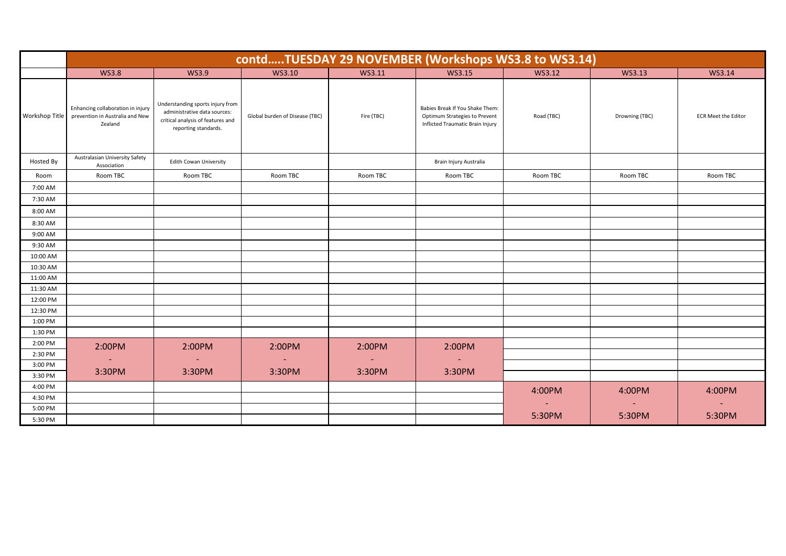|                | contdTUESDAY 29 NOVEMBER (Workshops WS3.8 to WS3.14)                            |                                                                                                                               |                                |            |                                                                                                      |            |                |                            |  |  |  |  |
|----------------|---------------------------------------------------------------------------------|-------------------------------------------------------------------------------------------------------------------------------|--------------------------------|------------|------------------------------------------------------------------------------------------------------|------------|----------------|----------------------------|--|--|--|--|
|                | <b>WS3.8</b>                                                                    | <b>WS3.9</b>                                                                                                                  | WS3.10                         | WS3.11     | WS3.15                                                                                               | WS3.12     | WS3.13         | WS3.14                     |  |  |  |  |
| Workshop Title | Enhancing collaboration in injury<br>prevention in Australia and New<br>Zealand | Understanding sports injury from<br>administrative data sources:<br>critical analysis of features and<br>reporting standards. | Global burden of Disease (TBC) | Fire (TBC) | Babies Break If You Shake Them:<br>Optimum Strategies to Prevent<br>Inflicted Traumatic Brain Injury | Road (TBC) | Drowning (TBC) | <b>ECR Meet the Editor</b> |  |  |  |  |
| Hosted By      | Australasian University Safety<br>Association                                   | <b>Edith Cowan University</b>                                                                                                 |                                |            | Brain Injury Australia                                                                               |            |                |                            |  |  |  |  |
| Room           | Room TBC                                                                        | Room TBC                                                                                                                      | Room TBC                       | Room TBC   | Room TBC                                                                                             | Room TBC   | Room TBC       | Room TBC                   |  |  |  |  |
| 7:00 AM        |                                                                                 |                                                                                                                               |                                |            |                                                                                                      |            |                |                            |  |  |  |  |
| 7:30 AM        |                                                                                 |                                                                                                                               |                                |            |                                                                                                      |            |                |                            |  |  |  |  |
| 8:00 AM        |                                                                                 |                                                                                                                               |                                |            |                                                                                                      |            |                |                            |  |  |  |  |
| 8:30 AM        |                                                                                 |                                                                                                                               |                                |            |                                                                                                      |            |                |                            |  |  |  |  |
| 9:00 AM        |                                                                                 |                                                                                                                               |                                |            |                                                                                                      |            |                |                            |  |  |  |  |
| 9:30 AM        |                                                                                 |                                                                                                                               |                                |            |                                                                                                      |            |                |                            |  |  |  |  |
| 10:00 AM       |                                                                                 |                                                                                                                               |                                |            |                                                                                                      |            |                |                            |  |  |  |  |
| 10:30 AM       |                                                                                 |                                                                                                                               |                                |            |                                                                                                      |            |                |                            |  |  |  |  |
| 11:00 AM       |                                                                                 |                                                                                                                               |                                |            |                                                                                                      |            |                |                            |  |  |  |  |
| 11:30 AM       |                                                                                 |                                                                                                                               |                                |            |                                                                                                      |            |                |                            |  |  |  |  |
| 12:00 PM       |                                                                                 |                                                                                                                               |                                |            |                                                                                                      |            |                |                            |  |  |  |  |
| 12:30 PM       |                                                                                 |                                                                                                                               |                                |            |                                                                                                      |            |                |                            |  |  |  |  |
| 1:00 PM        |                                                                                 |                                                                                                                               |                                |            |                                                                                                      |            |                |                            |  |  |  |  |
| 1:30 PM        |                                                                                 |                                                                                                                               |                                |            |                                                                                                      |            |                |                            |  |  |  |  |
| 2:00 PM        | 2:00PM                                                                          | 2:00PM                                                                                                                        | 2:00PM                         | 2:00PM     | 2:00PM                                                                                               |            |                |                            |  |  |  |  |
| 2:30 PM        | $\sim$                                                                          | $\sim$                                                                                                                        | $\sim$                         | $\sim$     | $\sim$                                                                                               |            |                |                            |  |  |  |  |
| 3:00 PM        |                                                                                 |                                                                                                                               |                                |            |                                                                                                      |            |                |                            |  |  |  |  |
| 3:30 PM        | 3:30PM                                                                          | 3:30PM                                                                                                                        | 3:30PM                         | 3:30PM     | 3:30PM                                                                                               |            |                |                            |  |  |  |  |
| 4:00 PM        |                                                                                 |                                                                                                                               |                                |            |                                                                                                      | 4:00PM     | 4:00PM         | 4:00PM                     |  |  |  |  |
| 4:30 PM        |                                                                                 |                                                                                                                               |                                |            |                                                                                                      |            |                |                            |  |  |  |  |
| 5:00 PM        |                                                                                 |                                                                                                                               |                                |            |                                                                                                      |            |                |                            |  |  |  |  |
| 5:30 PM        |                                                                                 |                                                                                                                               |                                |            |                                                                                                      | 5:30PM     | 5:30PM         | 5:30PM                     |  |  |  |  |